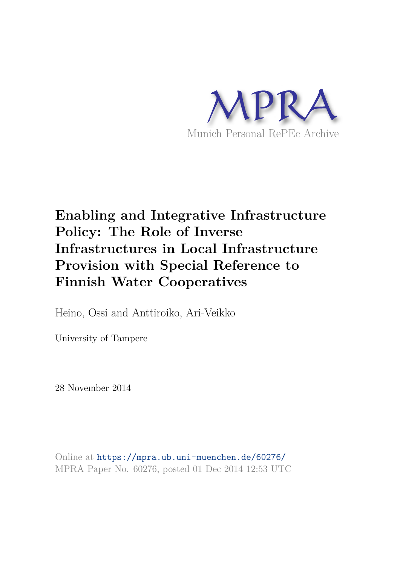

# **Enabling and Integrative Infrastructure Policy: The Role of Inverse Infrastructures in Local Infrastructure Provision with Special Reference to Finnish Water Cooperatives**

Heino, Ossi and Anttiroiko, Ari-Veikko

University of Tampere

28 November 2014

Online at https://mpra.ub.uni-muenchen.de/60276/ MPRA Paper No. 60276, posted 01 Dec 2014 12:53 UTC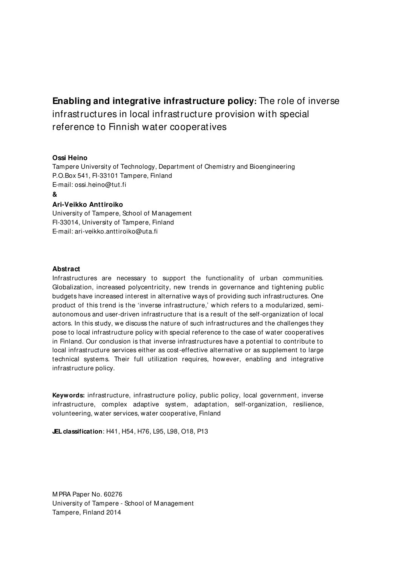**Enabling and integrative infrastructure policy:** The role of inverse infrastructures in local infrastructure provision with special reference to Finnish water cooperatives

## **Ossi Heino**

Tampere University of Technology, Department of Chemistry and Bioengineering P.O.Box 541, FI-33101 Tampere, Finland E-mail: ossi.heino@tut.fi

**&** 

# **Ari-Veikko Anttiroiko**

University of Tampere, School of M anagement FI-33014, University of Tampere, Finland E-mail: ari-veikko.anttiroiko@uta.fi

### **Abstract**

Infrastructures are necessary to support the functionality of urban communities. Globalization, increased polycentricity, new trends in governance and tightening public budgets have increased interest in alternative ways of providing such infrastructures. One product of this trend is the 'inverse infrastructure,' which refers to a modularized, semiautonomous and user-driven infrastructure that is a result of the self-organization of local actors. In this study, we discuss the nature of such infrastructures and the challenges they pose to local infrastructure policy with special reference to the case of water cooperatives in Finland. Our conclusion is that inverse infrastructures have a potential to contribute to local infrastructure services either as cost-effective alternative or as supplement to large technical systems. Their full utilization requires, however, enabling and integrative infrastructure policy.

**Keywords:** infrastructure, infrastructure policy, public policy, local government, inverse infrastructure, complex adaptive system, adaptation, self-organization, resilience, volunteering, water services, water cooperative, Finland

**JEL classification**: H41, H54, H76, L95, L98, O18, P13

M PRA Paper No. 60276 University of Tampere - School of M anagement Tampere, Finland 2014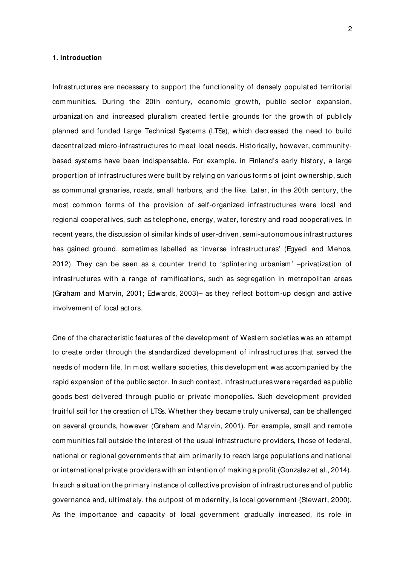# **1. Introduction**

Infrastructures are necessary to support the functionality of densely populated territorial communities. During the 20th century, economic growth, public sector expansion, urbanization and increased pluralism created fertile grounds for the growth of publicly planned and funded Large Technical Systems (LTSs), which decreased the need to build decentralized micro-infrastructures to meet local needs. Historically, however, communitybased systems have been indispensable. For example, in Finland's early history, a large proportion of infrastructures were built by relying on various forms of joint ownership, such as communal granaries, roads, small harbors, and the like. Later, in the 20th century, the most common forms of the provision of self-organized infrastructures were local and regional cooperatives, such as telephone, energy, water, forestry and road cooperatives. In recent years, the discussion of similar kinds of user-driven, semi-autonomous infrastructures has gained ground, sometimes labelled as 'inverse infrastructures' (Egyedi and Mehos, 2012). They can be seen as a counter trend to 'splintering urbanism' –privatization of infrastructures with a range of ramifications, such as segregation in metropolitan areas (Graham and M arvin, 2001; Edwards, 2003)– as they reflect bottom-up design and active involvement of local act ors.

One of the characteristic features of the development of Western societies was an attempt to create order through the standardized development of infrastructures that served the needs of modern life. In most welfare societies, t his development was accompanied by the rapid expansion of the public sector. In such context, infrastructures were regarded as public goods best delivered through public or private monopolies. Such development provided fruitful soil for the creation of LTSs. Whether they became truly universal, can be challenged on several grounds, however (Graham and M arvin, 2001). For example, small and remote communities fall outside the interest of the usual infrastructure providers, those of federal, national or regional governments that aim primarily to reach large populations and nat ional or internat ional private providers with an intention of making a profit (Gonzalez et al., 2014). In such a situation the primary instance of collective provision of infrastructures and of public governance and, ultimately, the outpost of modernity, is local government (Stewart, 2000). As the importance and capacity of local government gradually increased, its role in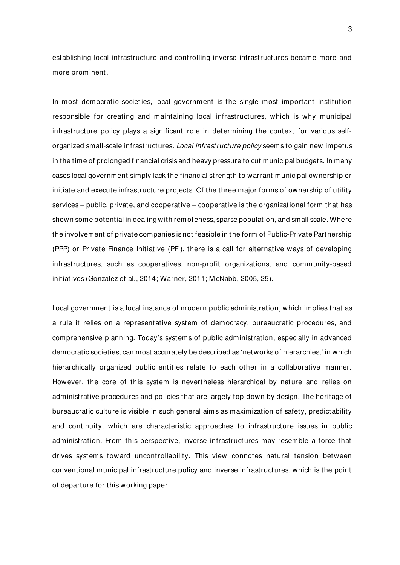establishing local infrastructure and controlling inverse infrastructures became more and more prominent.

In most democratic societies, local government is the single most important institution responsible for creating and maintaining local infrastructures, which is why municipal infrastructure policy plays a significant role in determining the context for various selforganized small-scale infrastructures. Local infrastructure policy seems to gain new impetus in the time of prolonged financial crisis and heavy pressure to cut municipal budgets. In many cases local government simply lack the financial strength to warrant municipal ownership or initiate and execute infrastructure projects. Of the three major forms of ownership of utility services – public, private, and cooperative – cooperative is the organizational form that has shown some potential in dealing with remoteness, sparse population, and small scale. Where the involvement of private companies is not feasible in the form of Public-Private Partnership (PPP) or Private Finance Initiative (PFI), there is a call for alternative ways of developing infrastructures, such as cooperatives, non-profit organizations, and community-based initiat ives (Gonzalez et al., 2014; Warner, 2011; M cNabb, 2005, 25).

Local government is a local instance of modern public administration, which implies that as a rule it relies on a representative system of democracy, bureaucratic procedures, and comprehensive planning. Today's systems of public administration, especially in advanced democratic societies, can most accurately be described as 'networks of hierarchies,' in which hierarchically organized public entities relate to each other in a collaborative manner. However, the core of this system is nevertheless hierarchical by nature and relies on administrative procedures and policies that are largely top-down by design. The heritage of bureaucratic culture is visible in such general aims as maximization of safety, predictability and continuity, which are characteristic approaches to infrastructure issues in public administration. From this perspective, inverse infrastructures may resemble a force that drives systems toward uncontrollability. This view connotes natural tension between conventional municipal infrastructure policy and inverse infrastructures, which is the point of departure for this working paper.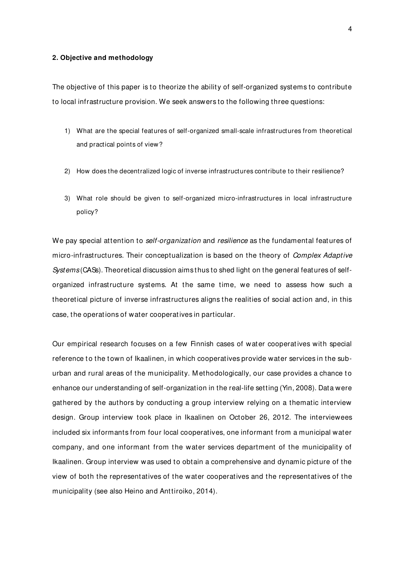### **2. Objective and methodology**

The objective of this paper is to theorize the ability of self-organized systems to contribute to local infrastructure provision. We seek answers to the following three questions:

- 1) What are the special features of self-organized small-scale infrastructures from theoretical and practical points of view?
- 2) How does the decentralized logic of inverse infrastructures contribute to their resilience?
- 3) What role should be given to self-organized micro-infrastructures in local infrastructure policy?

We pay special attention to *self-organization* and *resilience* as the fundamental features of micro-infrastructures. Their conceptualization is based on the theory of *Complex Adaptive* Systems (CASs). Theoretical discussion aims thus to shed light on the general features of selforganized infrastructure systems. At the same time, we need to assess how such a theoretical picture of inverse infrastructures aligns the realities of social action and, in this case, the operat ions of water cooperatives in particular.

Our empirical research focuses on a few Finnish cases of water cooperat ives with special reference to the town of Ikaalinen, in which cooperatives provide water services in the suburban and rural areas of the municipality. M ethodologically, our case provides a chance to enhance our understanding of self-organization in the real-life setting (Yin, 2008). Data were gathered by the authors by conducting a group interview relying on a thematic interview design. Group interview took place in Ikaalinen on October 26, 2012. The interviewees included six informants from four local cooperatives, one informant from a municipal water company, and one informant from the water services department of the municipality of Ikaalinen. Group interview was used to obtain a comprehensive and dynamic picture of the view of both the representatives of the water cooperatives and the representatives of the municipality (see also Heino and Anttiroiko, 2014).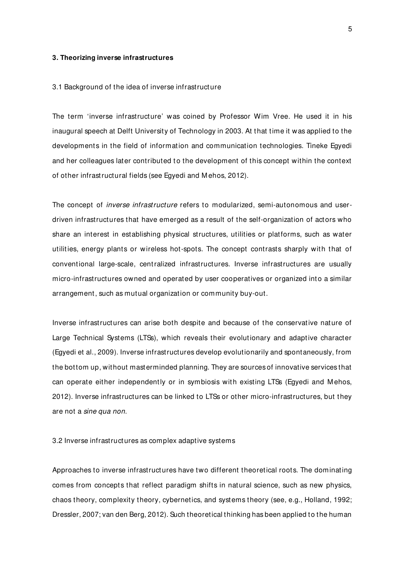## **3. Theorizing inverse infrastructures**

#### 3.1 Background of the idea of inverse infrastructure

The term 'inverse infrastructure' was coined by Professor Wim Vree. He used it in his inaugural speech at Delft University of Technology in 2003. At that time it was applied to the developments in the field of information and communication technologies. Tineke Egyedi and her colleagues later contributed to the development of this concept within the context of other infrastructural fields (see Egyedi and M ehos, 2012).

The concept of *inverse infrastructure* refers to modularized, semi-autonomous and userdriven infrastructures that have emerged as a result of the self-organization of actors who share an interest in establishing physical structures, utilities or platforms, such as water utilities, energy plants or wireless hot-spots. The concept contrasts sharply with that of conventional large-scale, centralized infrastructures. Inverse infrastructures are usually micro-infrastructures owned and operated by user cooperatives or organized into a similar arrangement, such as mutual organization or community buy-out.

Inverse infrastructures can arise both despite and because of the conservative nature of Large Technical Systems (LTSs), which reveals their evolutionary and adaptive character (Egyedi et al., 2009). Inverse infrastructures develop evolutionarily and spontaneously, from the bottom up, without masterminded planning. They are sources of innovative services that can operate either independently or in symbiosis with existing LTSs (Egyedi and Mehos, 2012). Inverse infrastructures can be linked to LTSs or other micro-infrastructures, but they are not a sine qua non.

3.2 Inverse infrastructures as complex adaptive systems

Approaches to inverse infrastructures have two different theoretical roots. The dominating comes from concepts that reflect paradigm shifts in natural science, such as new physics, chaos theory, complexity theory, cybernetics, and systems theory (see, e.g., Holland, 1992; Dressler, 2007; van den Berg, 2012). Such theoretical thinking has been applied to the human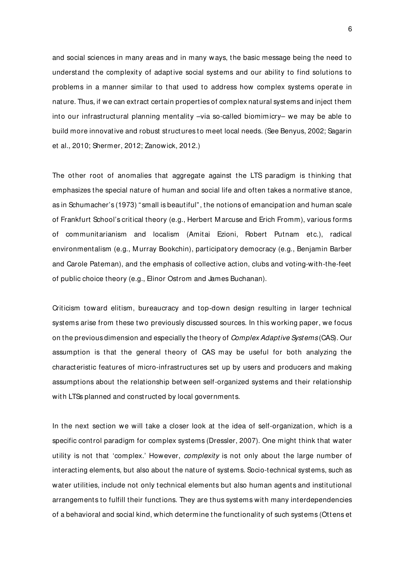and social sciences in many areas and in many ways, the basic message being the need to understand the complexity of adaptive social systems and our ability to find solutions to problems in a manner similar to that used to address how complex systems operate in nature. Thus, if we can extract certain properties of complex natural systems and inject them into our infrastructural planning mentality –via so-called biomimicry– we may be able to build more innovative and robust structures to meet local needs. (See Benyus, 2002; Sagarin et al., 2010; Shermer, 2012; Zanowick, 2012.)

The other root of anomalies that aggregate against the LTS paradigm is thinking that emphasizes the special nature of human and social life and often takes a normative stance, as in Schumacher's (1973) " small is beautiful" , the notions of emancipation and human scale of Frankfurt School's critical theory (e.g., Herbert M arcuse and Erich Fromm), various forms of communitarianism and localism (Amitai Ezioni, Robert Putnam etc.), radical environmentalism (e.g., M urray Bookchin), participatory democracy (e.g., Benjamin Barber and Carole Pateman), and the emphasis of collective action, clubs and voting-with-the-feet of public choice theory (e.g., Elinor Ostrom and James Buchanan).

Criticism toward elitism, bureaucracy and top-down design resulting in larger technical systems arise from these two previously discussed sources. In this working paper, we focus on the previous dimension and especially the theory of *Complex Adaptive Systems* (CAS). Our assumption is that the general theory of CAS may be useful for both analyzing the characteristic features of micro-infrastructures set up by users and producers and making assumptions about the relationship between self-organized systems and their relationship with LTSs planned and constructed by local governments.

In the next section we will take a closer look at the idea of self-organization, which is a specific control paradigm for complex systems (Dressler, 2007). One might think that water utility is not that 'complex.' However, *complexity* is not only about the large number of interacting elements, but also about the nature of systems. Socio-technical systems, such as water utilities, include not only technical elements but also human agents and institutional arrangements to fulfill their functions. They are thus systems with many interdependencies of a behavioral and social kind, which determine the functionality of such systems (Ottens et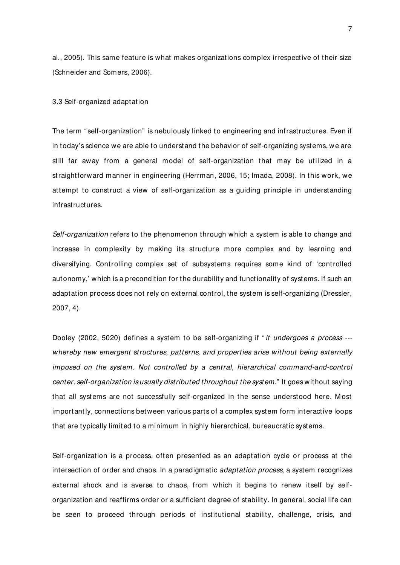al., 2005). This same feature is what makes organizations complex irrespective of their size (Schneider and Somers, 2006).

## 3.3 Self-organized adaptation

The term "self-organization" is nebulously linked to engineering and infrastructures. Even if in today's science we are able to understand the behavior of self-organizing systems, we are still far away from a general model of self-organization that may be utilized in a straightforward manner in engineering (Herrman, 2006, 15; Imada, 2008). In this work, we attempt to construct a view of self-organization as a guiding principle in understanding infrastructures.

Self-organization refers to the phenomenon through which a system is able to change and increase in complexity by making its structure more complex and by learning and diversifying. Controlling complex set of subsystems requires some kind of 'controlled autonomy,' which is a precondition for the durability and functionality of systems. If such an adaptation process does not rely on external control, the system is self-organizing (Dressler, 2007, 4).

Dooley (2002, 5020) defines a system to be self-organizing if "*it undergoes a process* --whereby new emergent structures, patterns, and properties arise without being externally imposed on the system. Not controlled by a central, hierarchical command-and-control center, self-organization is usually distributed throughout the system." It goes without saying that all systems are not successfully self-organized in the sense understood here. M ost important ly, connections between various parts of a complex system form interactive loops that are typically limited to a minimum in highly hierarchical, bureaucratic systems.

Self-organization is a process, often presented as an adaptation cycle or process at the intersection of order and chaos. In a paradigmatic adaptation process, a system recognizes external shock and is averse to chaos, from which it begins to renew itself by selforganization and reaffirms order or a sufficient degree of stability. In general, social life can be seen to proceed through periods of institutional stability, challenge, crisis, and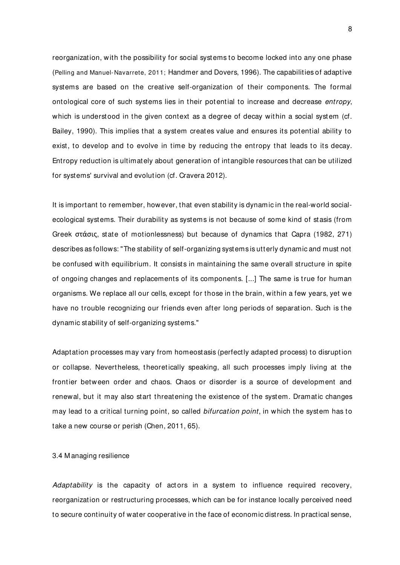reorganization, with the possibility for social systems to become locked into any one phase (Pelling and Manuel-Navarrete, 2011; Handmer and Dovers, 1996). The capabilities of adaptive systems are based on the creative self-organization of their components. The formal ontological core of such systems lies in their potential to increase and decrease *entropy*, which is understood in the given context as a degree of decay within a social system (cf. Bailey, 1990). This implies that a system creates value and ensures its potential ability to exist, to develop and to evolve in time by reducing the entropy that leads to its decay. Entropy reduction is ultimately about generation of intangible resources that can be utilized for systems' survival and evolution (cf. Cravera 2012).

It is important to remember, however, that even stability is dynamic in the real-world socialecological systems. Their durability as systems is not because of some kind of stasis (from Greek στάσις, state of motionlessness) but because of dynamics that Capra (1982, 271) describes as follows: "The stability of self-organizing systems is utterly dynamic and must not be confused with equilibrium. It consists in maintaining the same overall structure in spite of ongoing changes and replacements of its components. [...] The same is true for human organisms. We replace all our cells, except for those in the brain, within a few years, yet we have no trouble recognizing our friends even after long periods of separation. Such is the dynamic stability of self-organizing systems."

Adaptation processes may vary from homeostasis (perfectly adapted process) to disruption or collapse. Nevertheless, theoretically speaking, all such processes imply living at the frontier between order and chaos. Chaos or disorder is a source of development and renewal, but it may also start threatening the existence of the system. Dramatic changes may lead to a critical turning point, so called *bifurcation point*, in which the system has to take a new course or perish (Chen, 2011, 65).

3.4 M anaging resilience

Adaptability is the capacity of actors in a system to influence required recovery, reorganization or restructuring processes, which can be for instance locally perceived need to secure continuity of water cooperative in the face of economic distress. In practical sense,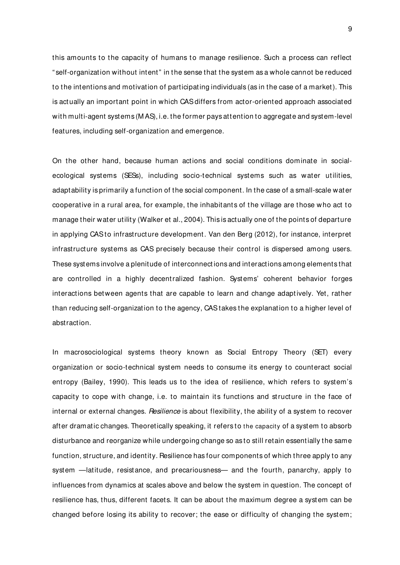this amounts to the capacity of humans to manage resilience. Such a process can reflect " self-organization without intent" in the sense that the system as a whole cannot be reduced to the intentions and motivation of participating individuals (as in the case of a market). This is actually an important point in which CAS differs from actor-oriented approach associated with multi-agent systems (M AS), i.e. the former pays attention to aggregate and system-level features, including self-organization and emergence.

On the other hand, because human actions and social conditions dominate in socialecological systems (SESs), including socio-technical systems such as water utilities, adaptability is primarily a function of the social component. In the case of a small-scale water cooperative in a rural area, for example, the inhabitants of the village are those who act to manage their water utility (Walker et al., 2004). This is actually one of the points of departure in applying CAS to infrastructure development. Van den Berg (2012), for instance, interpret infrastructure systems as CAS precisely because their control is dispersed among users. These systems involve a plenitude of interconnect ions and interactions among elements that are controlled in a highly decentralized fashion. Systems' coherent behavior forges interactions between agents that are capable to learn and change adaptively. Yet, rather than reducing self-organization to the agency, CAS takes the explanation to a higher level of abstraction.

In macrosociological systems theory known as Social Entropy Theory (SET) every organization or socio-technical system needs to consume its energy to counteract social entropy (Bailey, 1990). This leads us to the idea of resilience, which refers to system's capacity to cope with change, i.e. to maintain its functions and structure in the face of internal or external changes. *Resilience* is about flexibility, the ability of a system to recover after dramatic changes. Theoretically speaking, it refers to the capacity of a system to absorb disturbance and reorganize while undergoing change so as to still retain essentially the same function, structure, and identity. Resilience has four components of which three apply to any system —latitude, resistance, and precariousness— and the fourth, panarchy, apply to influences from dynamics at scales above and below the system in question. The concept of resilience has, thus, different facets. It can be about the maximum degree a system can be changed before losing its ability to recover; the ease or difficulty of changing the system;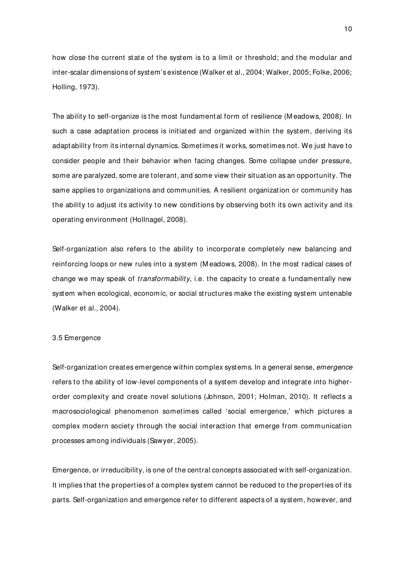how close the current state of the system is to a limit or threshold; and the modular and inter-scalar dimensions of system's existence (Walker et al., 2004; Walker, 2005; Folke, 2006; Holling, 1973).

The ability to self-organize is the most fundamental form of resilience (M eadows, 2008). In such a case adaptation process is initiated and organized within the system, deriving its adaptability from its internal dynamics. Sometimes it works, sometimes not. We just have to consider people and their behavior when facing changes. Some collapse under pressure, some are paralyzed, some are tolerant, and some view their situation as an opportunity. The same applies to organizations and communities. A resilient organization or community has the ability to adjust its activity to new conditions by observing both its own activity and its operating environment (Hollnagel, 2008).

Self-organization also refers to the ability to incorporate completely new balancing and reinforcing loops or new rules into a system (M eadows, 2008). In the most radical cases of change we may speak of *transformability*, i.e. the capacity to create a fundamentally new system when ecological, economic, or social structures make the existing system untenable (Walker et al., 2004).

#### 3.5 Emergence

Self-organization creates emergence within complex systems. In a general sense, *emergence* refers to the ability of low-level components of a system develop and integrate into higherorder complexity and create novel solutions (Johnson, 2001; Holman, 2010). It reflects a macrosociological phenomenon sometimes called 'social emergence,' which pictures a complex modern society through the social interaction that emerge from communication processes among individuals (Sawyer, 2005).

Emergence, or irreducibility, is one of the central concepts associated with self-organization. It implies that the properties of a complex system cannot be reduced to the properties of its parts. Self-organization and emergence refer to different aspects of a system, however, and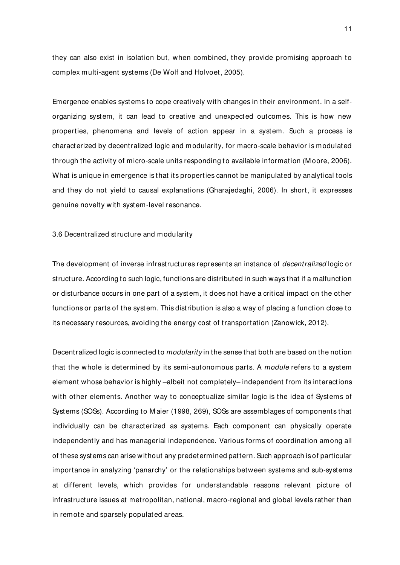they can also exist in isolation but, when combined, they provide promising approach to complex multi-agent systems (De Wolf and Holvoet, 2005).

Emergence enables systems to cope creatively with changes in their environment. In a selforganizing system, it can lead to creative and unexpected outcomes. This is how new properties, phenomena and levels of act ion appear in a system. Such a process is characterized by decentralized logic and modularity, for macro-scale behavior is modulated through the activity of micro-scale units responding to available information (M oore, 2006). What is unique in emergence is that its properties cannot be manipulated by analytical tools and they do not yield to causal explanations (Gharajedaghi, 2006). In short, it expresses genuine novelty with system-level resonance.

3.6 Decentralized structure and modularity

The development of inverse infrastructures represents an instance of decentralized logic or structure. According to such logic, functions are distributed in such ways that if a malfunction or disturbance occurs in one part of a system, it does not have a critical impact on the other functions or parts of the system. This distribution is also a way of placing a function close to its necessary resources, avoiding the energy cost of transportation (Zanowick, 2012).

Decentralized logic is connected to *modularity* in the sense that both are based on the notion that the whole is determined by its semi-autonomous parts. A module refers to a system element whose behavior is highly –albeit not completely– independent from its interactions with other elements. Another way to conceptualize similar logic is the idea of Systems of Systems (SOSs). According to M aier (1998, 269), SOSs are assemblages of components that individually can be characterized as systems. Each component can physically operate independently and has managerial independence. Various forms of coordination among all of these systems can arise without any predetermined pattern. Such approach is of particular importance in analyzing 'panarchy' or the relationships between systems and sub-systems at different levels, which provides for understandable reasons relevant picture of infrastructure issues at metropolitan, national, macro-regional and global levels rather than in remote and sparsely populated areas.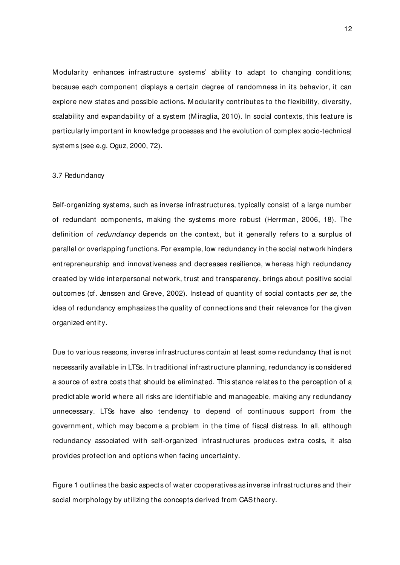Modularity enhances infrastructure systems' ability to adapt to changing conditions; because each component displays a certain degree of randomness in its behavior, it can explore new states and possible actions. M odularity contributes to the flexibility, diversity, scalability and expandability of a system (M iraglia, 2010). In social contexts, this feature is particularly important in knowledge processes and the evolution of complex socio-technical systems (see e.g. Oguz, 2000, 72).

#### 3.7 Redundancy

Self-organizing systems, such as inverse infrastructures, typically consist of a large number of redundant components, making the systems more robust (Herrman, 2006, 18). The definition of redundancy depends on the context, but it generally refers to a surplus of parallel or overlapping functions. For example, low redundancy in the social network hinders entrepreneurship and innovativeness and decreases resilience, whereas high redundancy created by wide interpersonal network, trust and transparency, brings about positive social outcomes (cf. Jenssen and Greve, 2002). Instead of quantity of social contacts per se, the idea of redundancy emphasizes the quality of connections and their relevance for the given organized ent ity.

Due to various reasons, inverse infrastructures contain at least some redundancy that is not necessarily available in LTSs. In traditional infrastructure planning, redundancy is considered a source of extra costs that should be eliminated. This stance relates to the perception of a predictable world where all risks are identifiable and manageable, making any redundancy unnecessary. LTSs have also tendency to depend of continuous support from the government, which may become a problem in the time of fiscal distress. In all, although redundancy associated with self-organized infrastructures produces extra costs, it also provides protection and options when facing uncertainty.

Figure 1 outlines the basic aspects of water cooperatives as inverse infrastructures and their social morphology by utilizing the concepts derived from CAS theory.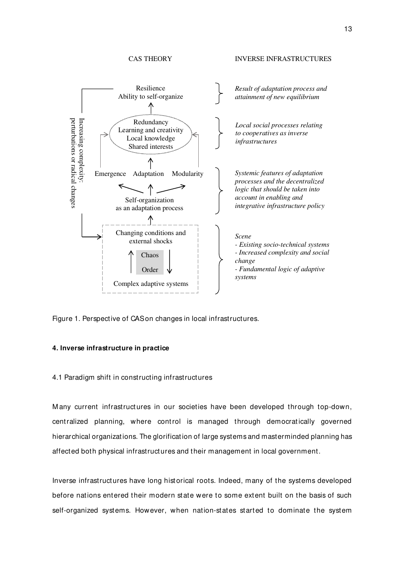# CAS THEORY INVERSE INFRASTRUCTURES



Figure 1. Perspective of CAS on changes in local infrastructures.

## **4. Inverse infrastructure in practice**

4.1 Paradigm shift in constructing infrastructures

M any current infrastructures in our societies have been developed through top-down, centralized planning, where control is managed through democratically governed hierarchical organizations. The glorificat ion of large systems and masterminded planning has affected both physical infrastructures and their management in local government.

Inverse infrastructures have long historical roots. Indeed, many of the systems developed before nations entered their modern state were to some extent built on the basis of such self-organized systems. However, when nation-states started to dominate the system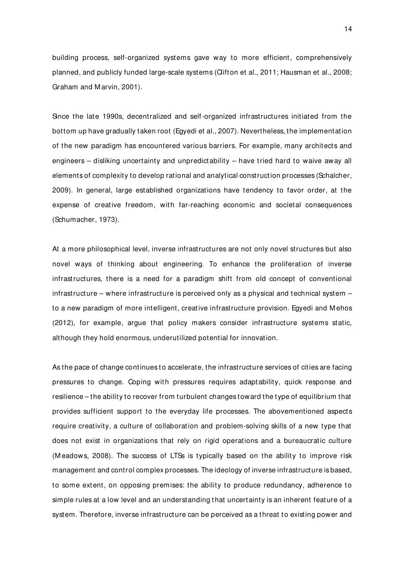building process, self-organized systems gave way to more efficient, comprehensively planned, and publicly funded large-scale systems (Clifton et al., 2011; Hausman et al., 2008; Graham and M arvin, 2001).

Since the late 1990s, decentralized and self-organized infrastructures initiated from the bottom up have gradually taken root (Egyedi et al., 2007). Nevertheless, the implementation of the new paradigm has encountered various barriers. For example, many architects and engineers – disliking uncertainty and unpredictability – have tried hard to waive away all elements of complexity to develop rational and analytical construction processes (Schalcher, 2009). In general, large established organizations have tendency to favor order, at the expense of creative freedom, with far-reaching economic and societal consequences (Schumacher, 1973).

At a more philosophical level, inverse infrastructures are not only novel structures but also novel ways of thinking about engineering. To enhance the proliferation of inverse infrastructures, there is a need for a paradigm shift from old concept of conventional infrastructure – where infrastructure is perceived only as a physical and technical system – to a new paradigm of more intelligent, creative infrastructure provision. Egyedi and M ehos (2012), for example, argue that policy makers consider infrastructure systems static, although they hold enormous, underutilized potential for innovation.

As the pace of change continues to accelerate, the infrastructure services of cities are facing pressures to change. Coping with pressures requires adaptability, quick response and resilience – the ability to recover from turbulent changes toward the type of equilibrium that provides sufficient support to the everyday life processes. The abovementioned aspects require creativity, a culture of collaboration and problem-solving skills of a new type that does not exist in organizations that rely on rigid operations and a bureaucratic culture (M eadows, 2008). The success of LTSs is typically based on the ability to improve risk management and control complex processes. The ideology of inverse infrastructure is based, to some extent, on opposing premises: the ability to produce redundancy, adherence to simple rules at a low level and an understanding that uncertainty is an inherent feature of a system. Therefore, inverse infrastructure can be perceived as a threat to existing power and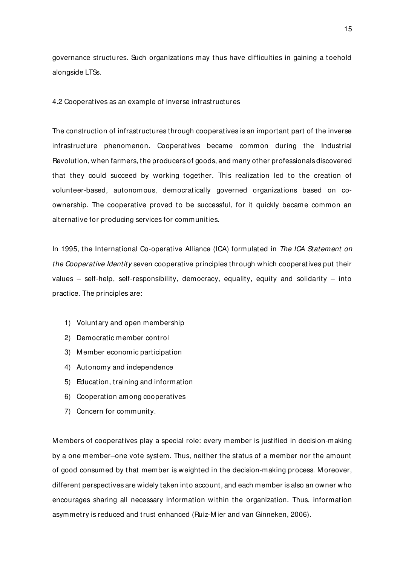governance structures. Such organizations may thus have difficulties in gaining a toehold alongside LTSs.

4.2 Cooperatives as an example of inverse infrastructures

The construction of infrastructures through cooperatives is an important part of the inverse infrastructure phenomenon. Cooperatives became common during the Industrial Revolution, when farmers, the producers of goods, and many other professionals discovered that they could succeed by working together. This realization led to the creation of volunteer-based, autonomous, democratically governed organizations based on coownership. The cooperative proved to be successful, for it quickly became common an alternative for producing services for communities.

In 1995, the International Co-operative Alliance (ICA) formulated in The ICA Statement on the Cooperative Identity seven cooperative principles through which cooperatives put their values – self-help, self-responsibility, democracy, equality, equity and solidarity – into practice. The principles are:

- 1) Voluntary and open membership
- 2) Democratic member control
- 3) M ember economic participation
- 4) Autonomy and independence
- 5) Education, training and information
- 6) Cooperation among cooperatives
- 7) Concern for community.

M embers of cooperat ives play a special role: every member is justified in decision-making by a one member–one vote system. Thus, neither the status of a member nor the amount of good consumed by that member is weighted in the decision-making process. M oreover, different perspectives are widely taken into account, and each member is also an owner who encourages sharing all necessary information w ithin the organization. Thus, information asymmetry is reduced and trust enhanced (Ruiz-M ier and van Ginneken, 2006).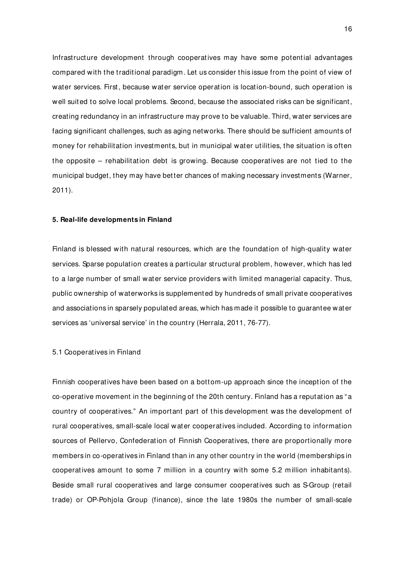Infrastructure development through cooperat ives may have some potential advantages compared with the traditional paradigm. Let us consider this issue from the point of view of water services. First, because water service operation is location-bound, such operation is well suited to solve local problems. Second, because the associated risks can be significant, creating redundancy in an infrastructure may prove to be valuable. Third, water services are facing significant challenges, such as aging networks. There should be sufficient amounts of money for rehabilitation investments, but in municipal water utilities, the situation is often the opposite – rehabilitation debt is growing. Because cooperatives are not tied to the municipal budget, they may have better chances of making necessary investments (Warner, 2011).

#### **5. Real-life developments in Finland**

Finland is blessed with natural resources, which are the foundation of high-quality water services. Sparse population creates a particular structural problem, however, which has led to a large number of small water service providers with limited managerial capacity. Thus, public ownership of waterworks is supplemented by hundreds of small private cooperatives and associations in sparsely populated areas, which has made it possible to guarantee water services as 'universal service' in the country (Herrala, 2011, 76-77).

## 5.1 Cooperatives in Finland

Finnish cooperatives have been based on a bottom-up approach since the inception of the co-operative movement in the beginning of the 20th century. Finland has a reputation as " a country of cooperatives." An important part of this development was the development of rural cooperatives, small-scale local water cooperatives included. According to information sources of Pellervo, Confederation of Finnish Cooperatives, there are proportionally more members in co-operatives in Finland than in any other country in the world (memberships in cooperat ives amount to some 7 million in a country with some 5.2 million inhabitants). Beside small rural cooperatives and large consumer cooperatives such as S-Group (retail trade) or OP-Pohjola Group (finance), since the late 1980s the number of small-scale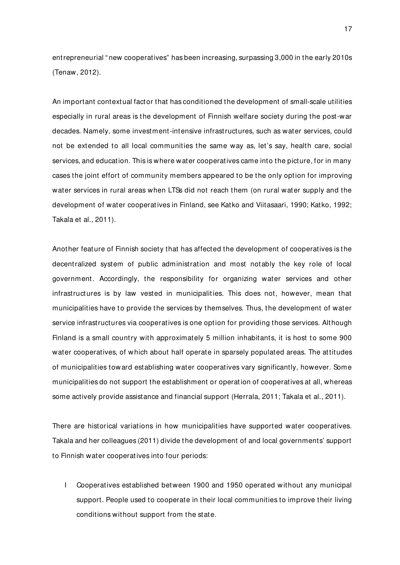entrepreneurial " new cooperatives" has been increasing, surpassing 3,000 in the early 2010s (Tenaw, 2012).

An important contextual factor that has conditioned the development of small-scale utilities especially in rural areas is the development of Finnish welfare society during the post-war decades. Namely, some investment-intensive infrastructures, such as water services, could not be extended to all local communities the same way as, let's say, health care, social services, and education. This is where water cooperatives came into the picture, for in many cases the joint effort of community members appeared to be the only option for improving water services in rural areas when LTSs did not reach them (on rural water supply and the development of water cooperat ives in Finland, see Katko and Viitasaari, 1990; Katko, 1992; Takala et al., 2011).

Another feature of Finnish society that has affected the development of cooperatives is the decentralized system of public administration and most notably the key role of local government. Accordingly, the responsibility for organizing water services and other infrastructures is by law vested in municipalities. This does not, however, mean that municipalities have to provide the services by themselves. Thus, the development of water service infrastructures via cooperatives is one option for providing those services. Although Finland is a small country with approximately 5 million inhabitants, it is host to some 900 water cooperatives, of which about half operate in sparsely populated areas. The attitudes of municipalities toward establishing water cooperatives vary significantly, however. Some municipalities do not support the establishment or operat ion of cooperatives at all, whereas some actively provide assistance and financial support (Herrala, 2011; Takala et al., 2011).

There are historical variations in how municipalities have supported water cooperatives. Takala and her colleagues (2011) divide the development of and local governments' support to Finnish water cooperatives into four periods:

I Cooperatives established between 1900 and 1950 operated without any municipal support. People used to cooperate in their local communities to improve their living conditions without support from the state.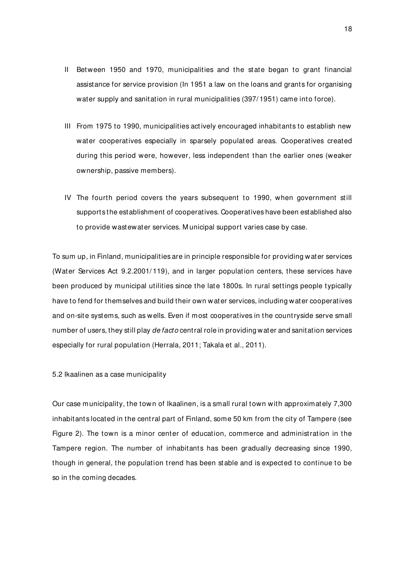- II Between 1950 and 1970, municipalities and the state began to grant financial assistance for service provision (In 1951 a law on the loans and grants for organising water supply and sanitation in rural municipalities (397/1951) came into force).
- III From 1975 to 1990, municipalities act ively encouraged inhabitants to establish new water cooperatives especially in sparsely populated areas. Cooperatives created during this period were, however, less independent than the earlier ones (weaker ownership, passive members).
- IV The fourth period covers the years subsequent to 1990, when government still supports the establishment of cooperatives. Cooperatives have been established also to provide wastewater services. M unicipal support varies case by case.

To sum up, in Finland, municipalities are in principle responsible for providing water services (Water Services Act 9.2.2001/119), and in larger population centers, these services have been produced by municipal utilities since the late 1800s. In rural settings people typically have to fend for themselves and build their own water services, including water cooperatives and on-site systems, such as wells. Even if most cooperatives in the countryside serve small number of users, they still play de facto central role in providing water and sanitation services especially for rural population (Herrala, 2011; Takala et al., 2011).

5.2 Ikaalinen as a case municipality

Our case municipality, the town of Ikaalinen, is a small rural town with approximately 7,300 inhabitants located in the central part of Finland, some 50 km from the city of Tampere (see Figure 2). The town is a minor center of education, commerce and administration in the Tampere region. The number of inhabitants has been gradually decreasing since 1990, though in general, the population trend has been stable and is expected to continue to be so in the coming decades.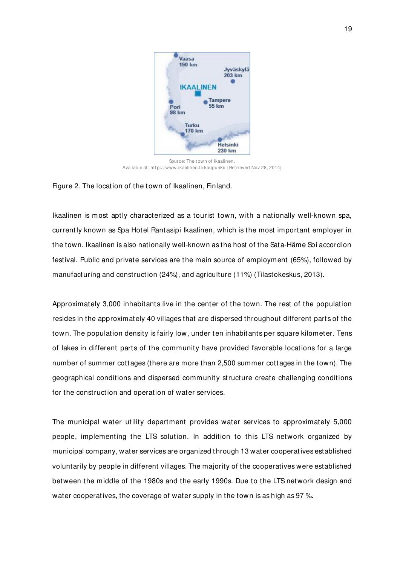

Source: The town of Ikaalinen. Available at: http:/ / www.ikaalinen.fi/ kaupunki/ [Retrieved Nov 28, 2014]

# Figure 2. The location of the town of Ikaalinen, Finland.

Ikaalinen is most aptly characterized as a tourist town, with a nationally well-known spa, current ly known as Spa Hotel Rantasipi Ikaalinen, which is the most important employer in the town. Ikaalinen is also nationally well-known as the host of the Sata-Häme Soi accordion festival. Public and private services are the main source of employment (65%), followed by manufacturing and construct ion (24%), and agriculture (11%) (Tilastokeskus, 2013).

Approximately 3,000 inhabitants live in the center of the town. The rest of the population resides in the approximately 40 villages that are dispersed throughout different parts of the town. The population density is fairly low, under ten inhabitants per square kilometer. Tens of lakes in different parts of the community have provided favorable locations for a large number of summer cottages (there are more than 2,500 summer cottages in the town). The geographical conditions and dispersed community structure create challenging conditions for the construct ion and operation of water services.

The municipal water utility department provides water services to approximately 5,000 people, implementing the LTS solution. In addition to this LTS network organized by municipal company, water services are organized t hrough 13 water cooperatives established voluntarily by people in different villages. The majority of the cooperatives were established between the middle of the 1980s and the early 1990s. Due to the LTS network design and water cooperatives, the coverage of water supply in the town is as high as 97 %.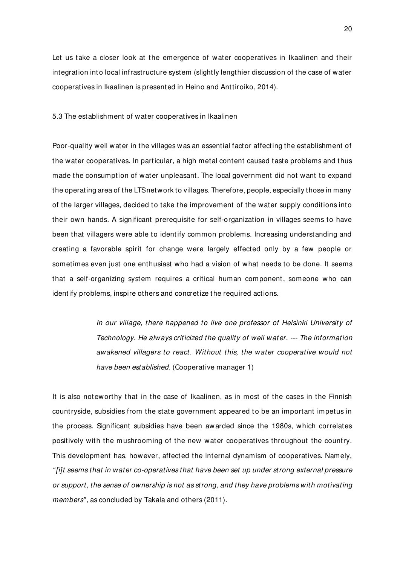Let us take a closer look at the emergence of water cooperatives in Ikaalinen and their integration into local infrastructure system (slightly lengthier discussion of the case of water cooperat ives in Ikaalinen is presented in Heino and Anttiroiko, 2014).

5.3 The establishment of water cooperatives in Ikaalinen

Poor-quality well water in the villages was an essential factor affecting the establishment of the water cooperatives. In particular, a high metal content caused taste problems and thus made the consumption of water unpleasant. The local government did not want to expand the operating area of the LTS network to villages. Therefore, people, especially those in many of the larger villages, decided to take the improvement of the water supply conditions into their own hands. A significant prerequisite for self-organization in villages seems to have been that villagers were able to ident ify common problems. Increasing understanding and creating a favorable spirit for change were largely effected only by a few people or sometimes even just one enthusiast who had a vision of what needs to be done. It seems that a self-organizing system requires a critical human component, someone who can identify problems, inspire others and concret ize the required actions.

> In our village, there happened to live one professor of Helsinki University of Technology. He always criticized the quality of well water. --- The information awakened villagers to react. Without this, the water cooperative would not have been established. (Cooperative manager 1)

It is also noteworthy that in the case of Ikaalinen, as in most of the cases in the Finnish countryside, subsidies from the state government appeared to be an important impetus in the process. Significant subsidies have been awarded since the 1980s, which correlates positively with the mushrooming of the new water cooperatives throughout the country. This development has, however, affected the internal dynamism of cooperatives. Namely, " [i]t seems that in water co-operatives that have been set up under strong external pressure or support, the sense of ownership is not as strong, and they have problems with motivating members", as concluded by Takala and others (2011).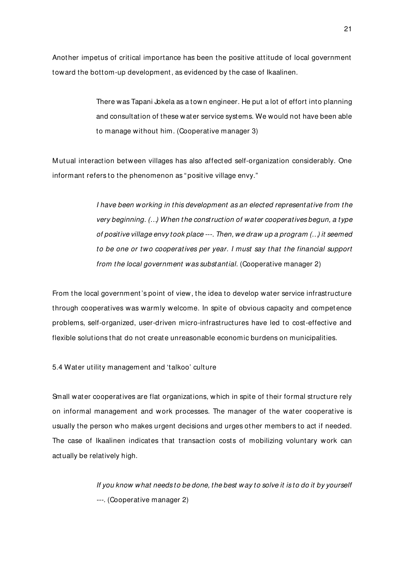Another impetus of critical importance has been the positive attitude of local government toward the bottom-up development, as evidenced by the case of Ikaalinen.

> There was Tapani Jokela as a town engineer. He put a lot of effort into planning and consultation of these water service systems. We would not have been able to manage without him. (Cooperative manager 3)

M utual interaction between villages has also affected self-organization considerably. One informant refers to the phenomenon as " positive village envy."

> I have been working in this development as an elected representative from the very beginning. (…) When the construction of water cooperatives begun, a type of positive village envy took place ---. Then, we draw up a program (…) it seemed to be one or two cooperatives per year. I must say that the financial support from the local government was substantial. (Cooperative manager 2)

From the local government 's point of view, the idea to develop water service infrastructure through cooperatives was warmly welcome. In spite of obvious capacity and competence problems, self-organized, user-driven micro-infrastructures have led to cost-effective and flexible solutions that do not create unreasonable economic burdens on municipalities.

5.4 Water utility management and 'talkoo' culture

Small water cooperatives are flat organizations, which in spite of their formal structure rely on informal management and work processes. The manager of the water cooperative is usually the person who makes urgent decisions and urges other members to act if needed. The case of Ikaalinen indicates that transaction costs of mobilizing voluntary work can actually be relatively high.

> If you know what needs to be done, the best way to solve it is to do it by yourself ---. (Cooperative manager 2)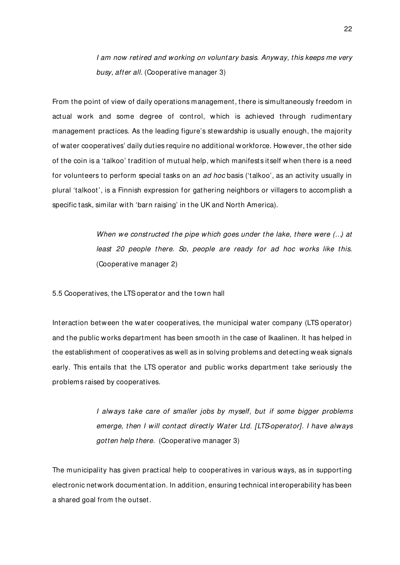I am now retired and working on voluntary basis. Anyway, this keeps me very busy, after all. (Cooperative manager 3)

From the point of view of daily operations management, there is simultaneously freedom in actual work and some degree of control, which is achieved through rudimentary management practices. As the leading figure's stewardship is usually enough, the majority of water cooperatives' daily dut ies require no additional workforce. However, the other side of the coin is a 'talkoo' tradition of mutual help, which manifests itself when there is a need for volunteers to perform special tasks on an ad hoc basis ('talkoo', as an activity usually in plural 'talkoot', is a Finnish expression for gathering neighbors or villagers to accomplish a specific task, similar with 'barn raising' in t he UK and North America).

> When we constructed the pipe which goes under the lake, there were  $(...)$  at least 20 people there. So, people are ready for ad hoc works like this. (Cooperative manager 2)

5.5 Cooperatives, the LTS operator and the town hall

Interaction between the water cooperatives, the municipal water company (LTS operator) and the public works department has been smooth in the case of Ikaalinen. It has helped in the establishment of cooperatives as well as in solving problems and detecting weak signals early. This entails that the LTS operator and public works department take seriously the problems raised by cooperatives.

> I always take care of smaller jobs by myself, but if some bigger problems emerge, then I will contact directly Water Ltd. [LTS-operator]. I have always gotten help there. (Cooperative manager 3)

The municipality has given practical help to cooperatives in various ways, as in supporting electronic network documentation. In addition, ensuring technical interoperability has been a shared goal from the outset.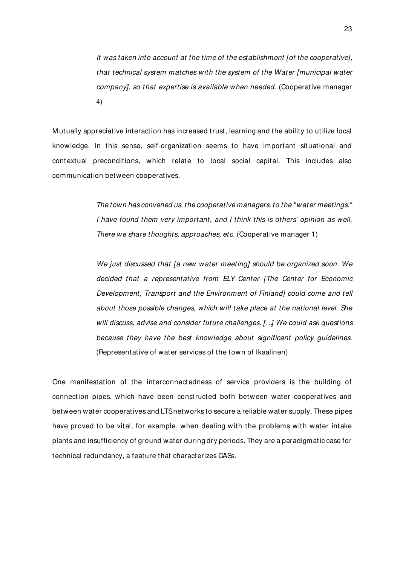It was taken into account at the time of the establishment [of the cooperative], that technical system matches with the system of the Water [municipal water company], so that expertise is available when needed. (Cooperative manager 4)

M utually appreciative interaction has increased trust, learning and the ability to ut ilize local knowledge. In this sense, self-organization seems to have important situational and contextual preconditions, which relate to local social capital. This includes also communication between cooperatives.

> The town has convened us, the cooperative managers, to the "water meetings." I have found them very important, and I think this is others' opinion as well. There we share thoughts, approaches, etc. (Cooperative manager 1)

> We just discussed that [a new water meeting] should be organized soon. We decided that a representative from ELY Center [The Center for Economic Development, Transport and the Environment of Finland] could come and tell about those possible changes, which will take place at the national level. She will discuss, advise and consider future challenges. [..] We could ask questions because they have the best knowledge about significant policy guidelines. (Representative of water services of the town of Ikaalinen)

One manifestation of the interconnectedness of service providers is the building of connection pipes, which have been constructed both between water cooperatives and between water cooperatives and LTS networks to secure a reliable water supply. These pipes have proved to be vital, for example, when dealing with the problems with water intake plants and insufficiency of ground water during dry periods. They are a paradigmatic case for technical redundancy, a feature that characterizes CASs.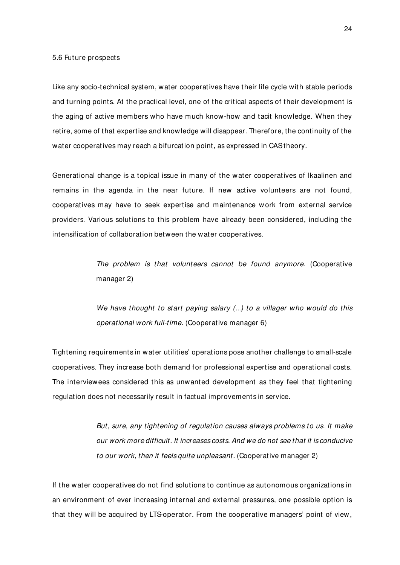#### 5.6 Future prospects

Like any socio-technical system, water cooperatives have their life cycle with stable periods and turning points. At the practical level, one of the critical aspects of their development is the aging of active members who have much know-how and tacit knowledge. When they retire, some of that expertise and knowledge will disappear. Therefore, the continuity of the water cooperat ives may reach a bifurcation point, as expressed in CAS theory.

Generational change is a topical issue in many of the water cooperatives of Ikaalinen and remains in the agenda in the near future. If new active volunteers are not found, cooperatives may have to seek expertise and maintenance w ork from external service providers. Various solutions to this problem have already been considered, including the intensification of collaboration between the water cooperatives.

> The problem is that volunteers cannot be found anymore. (Cooperative manager 2)

> We have thought to start paying salary (...) to a villager who would do this operational work full-time. (Cooperative manager 6)

Tightening requirements in water utilities' operations pose another challenge to small-scale cooperatives. They increase both demand for professional expertise and operational costs. The interviewees considered this as unwanted development as they feel that tightening regulation does not necessarily result in factual improvements in service.

> But, sure, any tightening of regulation causes always problems to us. It make our work more difficult. It increases costs. And we do not see that it is conducive to our work, then it feels quite unpleasant. (Cooperative manager 2)

If the water cooperatives do not find solutions to continue as autonomous organizations in an environment of ever increasing internal and external pressures, one possible option is that they will be acquired by LTS-operator. From the cooperative managers' point of view,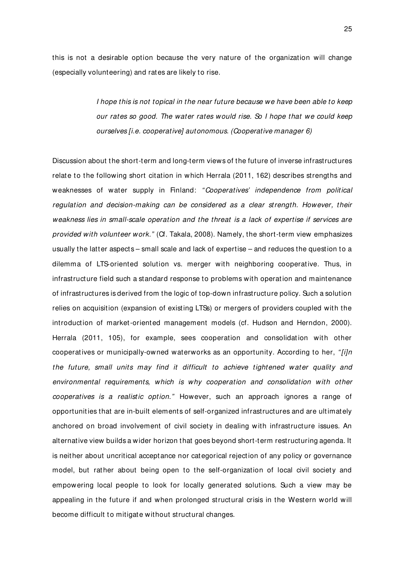this is not a desirable option because the very nature of the organization will change (especially volunteering) and rates are likely to rise.

> I hope this is not topical in the near future because we have been able to keep our rates so good. The water rates would rise. So I hope that we could keep ourselves [i.e. cooperative] autonomous. (Cooperative manager 6)

Discussion about the short-term and long-term views of the future of inverse infrastructures relate to the following short citation in which Herrala (2011, 162) describes strengths and weaknesses of water supply in Finland: "Cooperatives' independence from political regulation and decision-making can be considered as a clear strength. However, their weakness lies in small-scale operation and the threat is a lack of expertise if services are provided with volunteer work." (Cf. Takala, 2008). Namely, the short-term view emphasizes usually the latter aspects – small scale and lack of expertise – and reduces the question to a dilemma of LTS-oriented solution vs. merger with neighboring cooperative. Thus, in infrastructure field such a standard response to problems with operation and maintenance of infrastructures is derived from the logic of top-down infrastructure policy. Such a solution relies on acquisition (expansion of existing LTSs) or mergers of providers coupled with the introduction of market-oriented management models (cf. Hudson and Herndon, 2000). Herrala (2011, 105), for example, sees cooperation and consolidation with other cooperatives or municipally-owned waterworks as an opportunity. According to her, " $fijn$ the future, small units may find it difficult to achieve tightened water quality and environmental requirements, which is why cooperation and consolidation with other cooperatives is a realistic option." However, such an approach ignores a range of opportunit ies that are in-built elements of self-organized infrastructures and are ultimately anchored on broad involvement of civil society in dealing with infrastructure issues. An alternative view builds a wider horizon that goes beyond short-term restructuring agenda. It is neither about uncritical acceptance nor categorical reject ion of any policy or governance model, but rather about being open to the self-organization of local civil society and empowering local people to look for locally generated solutions. Such a view may be appealing in the future if and when prolonged structural crisis in the Western world will become difficult to mitigate without structural changes.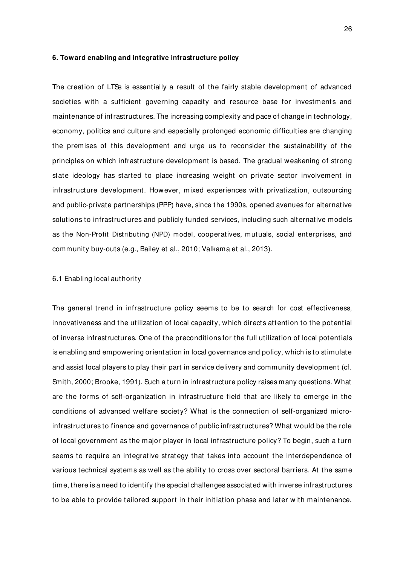#### **6. Toward enabling and integrative infrastructure policy**

The creation of LTSs is essentially a result of the fairly stable development of advanced societies with a sufficient governing capacity and resource base for investments and maintenance of infrastructures. The increasing complexity and pace of change in technology, economy, politics and culture and especially prolonged economic difficult ies are changing the premises of this development and urge us to reconsider the sustainability of the principles on which infrastructure development is based. The gradual weakening of strong state ideology has started to place increasing weight on private sector involvement in infrastructure development. However, mixed experiences with privatization, outsourcing and public-private partnerships (PPP) have, since the 1990s, opened avenues for alternative solutions to infrastructures and publicly funded services, including such alternative models as the Non-Profit Distributing (NPD) model, cooperatives, mutuals, social enterprises, and community buy-outs (e.g., Bailey et al., 2010; Valkama et al., 2013).

## 6.1 Enabling local authority

The general trend in infrastructure policy seems to be to search for cost effectiveness, innovativeness and the utilization of local capacity, which directs attention to the potential of inverse infrastructures. One of the preconditions for the full utilization of local potentials is enabling and empowering orientation in local governance and policy, which is to stimulate and assist local players to play their part in service delivery and community development (cf. Smith, 2000; Brooke, 1991). Such a turn in infrastructure policy raises many questions. What are the forms of self-organization in infrastructure field that are likely to emerge in the conditions of advanced welfare society? What is the connection of self-organized microinfrastructures to finance and governance of public infrastructures? What would be the role of local government as the major player in local infrastructure policy? To begin, such a turn seems to require an integrative strategy that takes into account the interdependence of various technical systems as well as the ability to cross over sectoral barriers. At the same time, there is a need to identify the special challenges associated with inverse infrastructures to be able to provide tailored support in their init iation phase and later with maintenance.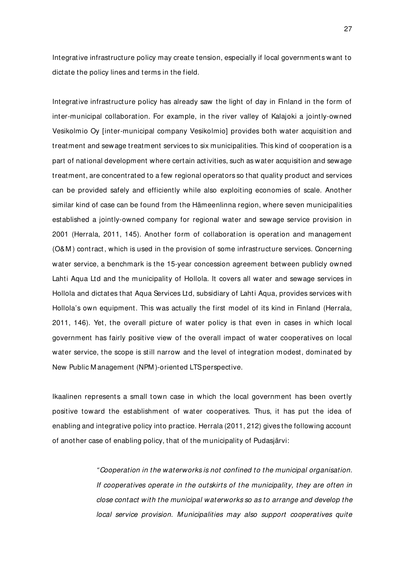Integrative infrastructure policy may create tension, especially if local governments want to dictate the policy lines and terms in the field.

Integrative infrastructure policy has already saw the light of day in Finland in the form of inter-municipal collaboration. For example, in the river valley of Kalajoki a jointly-owned Vesikolmio Oy [inter-municipal company Vesikolmio] provides both water acquisition and treatment and sewage treatment services to six municipalities. This kind of cooperation is a part of national development where certain activities, such as water acquisition and sewage treatment, are concentrated to a few regional operators so that quality product and services can be provided safely and efficiently while also exploiting economies of scale. Another similar kind of case can be found from the Hämeenlinna region, where seven municipalities established a jointly-owned company for regional water and sewage service provision in 2001 (Herrala, 2011, 145). Another form of collaboration is operation and management (O&M ) contract , which is used in the provision of some infrastructure services. Concerning water service, a benchmark is the 15-year concession agreement between publicly owned Lahti Aqua Ltd and the municipality of Hollola. It covers all water and sewage services in Hollola and dictates that Aqua Services Ltd, subsidiary of Lahti Aqua, provides services with Hollola's own equipment. This was actually the first model of its kind in Finland (Herrala, 2011, 146). Yet, the overall picture of water policy is that even in cases in which local government has fairly positive view of the overall impact of water cooperatives on local water service, the scope is still narrow and the level of integration modest, dominated by New Public M anagement (NPM )-oriented LTS perspective.

Ikaalinen represents a small town case in which the local government has been overtly positive toward the establishment of water cooperatives. Thus, it has put the idea of enabling and integrative policy into practice. Herrala (2011, 212) gives the following account of another case of enabling policy, that of the municipality of Pudasjärvi:

> " Cooperation in the waterworks is not confined to the municipal organisation. If cooperatives operate in the outskirts of the municipality, they are often in close contact with the municipal waterworks so as to arrange and develop the local service provision. Municipalities may also support cooperatives quite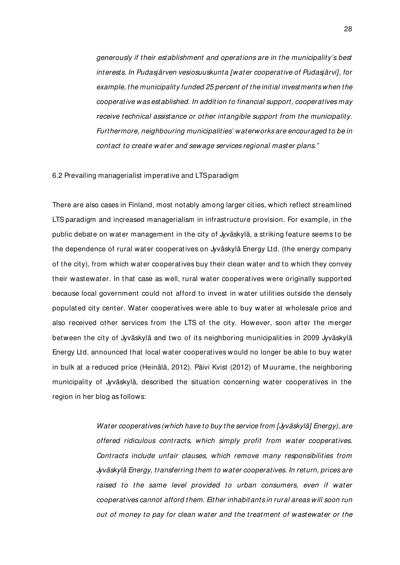generously if their establishment and operations are in the municipality's best interests. In Pudasjärven vesiosuuskunta [water cooperative of Pudasjärvi], for example, the municipality funded 25 percent of the initial investments when the cooperative was established. In addition to financial support, cooperatives may receive technical assistance or other intangible support from the municipality. Furthermore, neighbouring municipalities' waterworks are encouraged to be in contact to create water and sewage services regional master plans."

#### 6.2 Prevailing managerialist imperative and LTS paradigm

There are also cases in Finland, most notably among larger cities, which reflect streamlined LTS paradigm and increased managerialism in infrastructure provision. For example, in the public debate on water management in the city of Jyväskylä, a striking feature seems to be the dependence of rural water cooperatives on Jyväskylä Energy Ltd. (the energy company of the city), from which water cooperatives buy their clean water and to which they convey their wastewater. In that case as well, rural water cooperatives were originally supported because local government could not afford to invest in water utilities outside the densely populated city center. Water cooperatives were able to buy water at wholesale price and also received other services from the LTS of the city. However, soon after the merger between the city of Jyväskylä and two of its neighboring municipalities in 2009 Jyväskylä Energy Ltd. announced that local water cooperatives would no longer be able to buy water in bulk at a reduced price (Heinälä, 2012). Päivi Kvist (2012) of M uurame, the neighboring municipality of Jyväskylä, described the situation concerning water cooperatives in the region in her blog as follows:

> Water cooperatives (which have to buy the service from [Jyväskylä] Energy), are offered ridiculous contracts, which simply profit from water cooperatives. Contracts include unfair clauses, which remove many responsibilities from Jyväskylä Energy, transferring them to water cooperatives. In return, prices are raised to the same level provided to urban consumers, even if water cooperatives cannot afford them. Either inhabitants in rural areas will soon run out of money to pay for clean water and the treatment of wastewater or the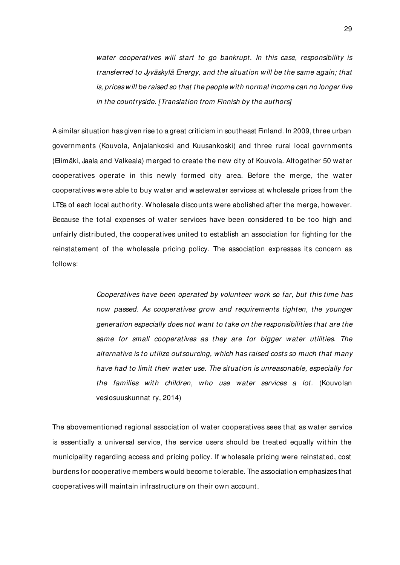water cooperatives will start to go bankrupt. In this case, responsibility is transferred to Jyväskylä Energy, and the situation will be the same again; that is, prices will be raised so that the people with normal income can no longer live in the countryside. [Translation from Finnish by the authors]

A similar situation has given rise to a great criticism in southeast Finland. In 2009, three urban governments (Kouvola, Anjalankoski and Kuusankoski) and three rural local govrnments (Elimäki, Jaala and Valkeala) merged to create the new city of Kouvola. Altogether 50 water cooperatives operate in this newly formed city area. Before the merge, the water cooperatives were able to buy water and wastewater services at wholesale prices from the LTSs of each local authority. Wholesale discounts were abolished after the merge, however. Because the total expenses of water services have been considered to be too high and unfairly distributed, the cooperatives united to establish an association for fighting for the reinstatement of the wholesale pricing policy. The association expresses its concern as follows:

> Cooperatives have been operated by volunteer work so far, but this time has now passed. As cooperatives grow and requirements tighten, the younger generation especially does not want to take on the responsibilities that are the same for small cooperatives as they are for bigger water utilities. The alternative is to utilize outsourcing, which has raised costs so much that many have had to limit their water use. The situation is unreasonable, especially for the families with children, who use water services a lot. (Kouvolan vesiosuuskunnat ry, 2014)

The abovementioned regional association of water cooperatives sees that as water service is essentially a universal service, the service users should be treated equally wit hin the municipality regarding access and pricing policy. If wholesale pricing were reinstated, cost burdens for cooperative members would become tolerable. The association emphasizes that cooperat ives will maintain infrastructure on their own account.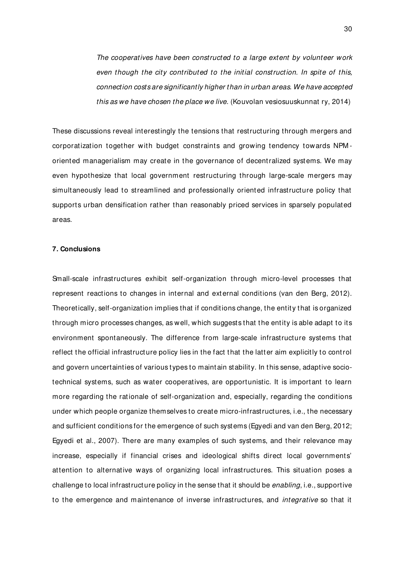The cooperatives have been constructed to a large extent by volunteer work even though the city contributed to the initial construction. In spite of this, connection costs are significantly higher than in urban areas. We have accepted this as we have chosen the place we live. (Kouvolan vesiosuuskunnat ry, 2014)

These discussions reveal interestingly the tensions that restructuring through mergers and corporatization together with budget constraints and growing tendency towards NPM oriented managerialism may create in the governance of decentralized systems. We may even hypothesize that local government restructuring through large-scale mergers may simultaneously lead to streamlined and professionally oriented infrastructure policy that supports urban densification rather than reasonably priced services in sparsely populated areas.

# **7. Conclusions**

Small-scale infrastructures exhibit self-organization through micro-level processes that represent reactions to changes in internal and external conditions (van den Berg, 2012). Theoretically, self-organization implies that if conditions change, the entity that is organized through micro processes changes, as well, which suggests that the entity is able adapt to its environment spontaneously. The difference from large-scale infrastructure systems that reflect the official infrastructure policy lies in the fact that the latter aim explicitly to control and govern uncertainties of various types to maint ain stability. In this sense, adaptive sociotechnical systems, such as water cooperatives, are opportunistic. It is important to learn more regarding the rationale of self-organization and, especially, regarding the conditions under which people organize themselves to create micro-infrastructures, i.e., the necessary and sufficient conditions for the emergence of such systems (Egyedi and van den Berg, 2012; Egyedi et al., 2007). There are many examples of such systems, and their relevance may increase, especially if financial crises and ideological shifts direct local governments' attention to alternative ways of organizing local infrastructures. This situation poses a challenge to local infrastructure policy in the sense that it should be enabling, i.e., supportive to the emergence and maintenance of inverse infrastructures, and integrative so that it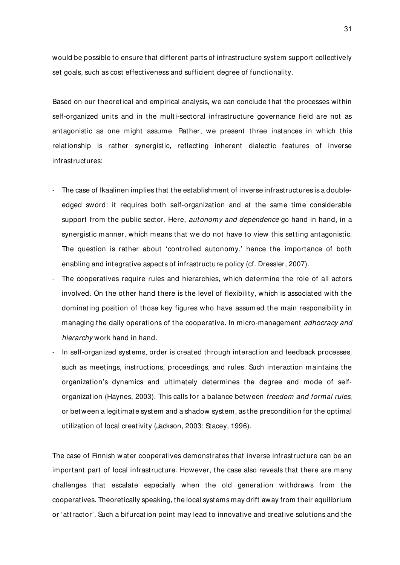would be possible to ensure that different parts of infrastructure system support collectively set goals, such as cost effectiveness and sufficient degree of functionality.

Based on our theoretical and empirical analysis, we can conclude t hat the processes within self-organized units and in the multi-sectoral infrastructure governance field are not as antagonistic as one might assume. Rather, we present three instances in which this relationship is rather synergistic, reflecting inherent dialectic features of inverse infrastructures:

- The case of Ikaalinen implies that the establishment of inverse infrastructures is a doubleedged sword: it requires both self-organization and at the same time considerable support from the public sector. Here, *autonomy and dependence* go hand in hand, in a synergistic manner, which means that we do not have to view this setting antagonistic. The question is rather about 'controlled autonomy,' hence the importance of both enabling and integrative aspects of infrastructure policy (cf. Dressler, 2007).
- The cooperatives require rules and hierarchies, which determine the role of all actors involved. On the other hand there is the level of flexibility, which is associated with the dominating position of those key figures who have assumed the main responsibility in managing the daily operations of the cooperative. In micro-management adhocracy and hierarchy work hand in hand.
- In self-organized systems, order is created through interaction and feedback processes, such as meetings, instructions, proceedings, and rules. Such interaction maintains the organization's dynamics and ultimately determines the degree and mode of selforganization (Haynes, 2003). This calls for a balance between freedom and formal rules, or between a legitimate system and a shadow system, as the precondition for the optimal utilization of local creativity (Jackson, 2003; Stacey, 1996).

The case of Finnish water cooperatives demonstrates that inverse infrastructure can be an important part of local infrastructure. However, the case also reveals that there are many challenges that escalate especially when the old generation withdraws from the cooperat ives. Theoretically speaking, the local systems may drift away from their equilibrium or 'attractor'. Such a bifurcat ion point may lead to innovative and creative solutions and the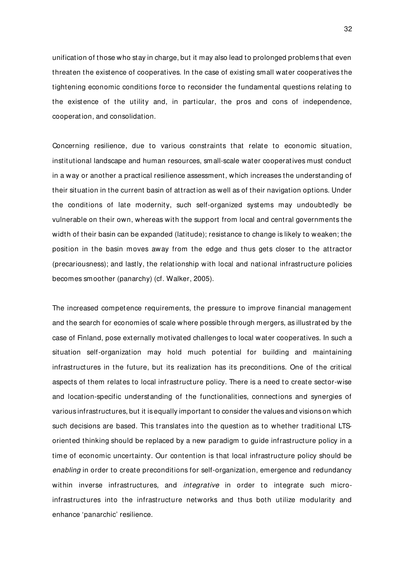unification of those who stay in charge, but it may also lead to prolonged problems that even threaten the existence of cooperatives. In the case of existing small water cooperatives the tightening economic conditions force to reconsider the fundamental questions relating to the existence of the utility and, in particular, the pros and cons of independence, cooperat ion, and consolidation.

Concerning resilience, due to various constraints that relate to economic situation, institutional landscape and human resources, small-scale water cooperatives must conduct in a way or another a practical resilience assessment, which increases the understanding of their situation in the current basin of attract ion as well as of their navigation options. Under the conditions of late modernity, such self-organized systems may undoubtedly be vulnerable on their own, whereas with the support from local and central governments the width of their basin can be expanded (latitude); resistance to change is likely to weaken; the position in the basin moves away from the edge and thus gets closer to the attractor (precariousness); and lastly, the relat ionship with local and national infrastructure policies becomes smoother (panarchy) (cf. Walker, 2005).

The increased competence requirements, the pressure to improve financial management and the search for economies of scale where possible through mergers, as illustrated by the case of Finland, pose externally motivated challenges to local water cooperatives. In such a situation self-organization may hold much potential for building and maintaining infrastructures in the future, but its realization has its preconditions. One of the critical aspects of them relates to local infrastructure policy. There is a need to create sector-wise and location-specific understanding of the functionalities, connections and synergies of various infrastructures, but it is equally important to consider the values and visions on which such decisions are based. This translates into the question as to whether traditional LTSoriented thinking should be replaced by a new paradigm to guide infrastructure policy in a time of economic uncertainty. Our contention is that local infrastructure policy should be enabling in order to create preconditions for self-organization, emergence and redundancy within inverse infrastructures, and *integrative* in order to integrate such microinfrastructures into the infrastructure networks and thus both utilize modularity and enhance 'panarchic' resilience.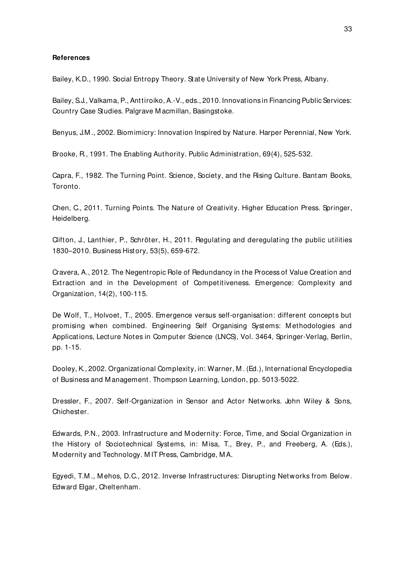## **References**

Bailey, K.D., 1990. Social Entropy Theory. State University of New York Press, Albany.

Bailey, S.J., Valkama, P., Anttiroiko, A.-V., eds., 2010. Innovations in Financing Public Services: Country Case Studies. Palgrave M acmillan, Basingstoke.

Benyus, J.M ., 2002. Biomimicry: Innovation Inspired by Nature. Harper Perennial, New York.

Brooke, R., 1991. The Enabling Authority. Public Administration, 69(4), 525-532.

Capra, F., 1982. The Turning Point. Science, Society, and the Rising Culture. Bantam Books, Toronto.

Chen, C., 2011. Turning Points. The Nature of Creativity. Higher Education Press. Springer, Heidelberg.

Clifton, J., Lanthier, P., Schröter, H., 2011. Regulating and deregulating the public utilities 1830–2010. Business History, 53(5), 659-672.

Cravera, A., 2012. The Negentropic Role of Redundancy in the Process of Value Creation and Extraction and in the Development of Competitiveness. Emergence: Complexity and Organization, 14(2), 100-115.

De Wolf, T., Holvoet, T., 2005. Emergence versus self-organisation: different concepts but promising when combined. Engineering Self Organising Systems: Methodologies and Applications, Lecture Notes in Computer Science (LNCS), Vol. 3464, Springer-Verlag, Berlin, pp. 1-15.

Dooley, K., 2002. Organizational Complexity, in: Warner, M . (Ed.), International Encyclopedia of Business and M anagement. Thompson Learning, London, pp. 5013-5022.

Dressler, F., 2007. Self-Organization in Sensor and Actor Networks. John Wiley & Sons, Chichester.

Edwards, P.N., 2003. Infrastructure and M odernity: Force, Time, and Social Organization in the History of Sociotechnical Systems, in: M isa, T., Brey, P., and Freeberg, A. (Eds.), M odernity and Technology. M IT Press, Cambridge, M A.

Egyedi, T.M ., M ehos, D.C., 2012. Inverse Infrastructures: Disrupting Networks from Below. Edward Elgar, Cheltenham.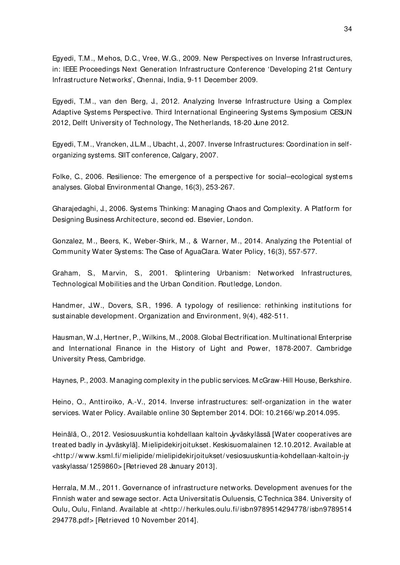Egyedi, T.M ., M ehos, D.C., Vree, W.G., 2009. New Perspectives on Inverse Infrastructures, in: IEEE Proceedings Next Generation Infrastructure Conference 'Developing 21st Century Infrastructure Networks', Chennai, India, 9-11 December 2009.

Egyedi, T.M ., van den Berg, J., 2012. Analyzing Inverse Infrastructure Using a Complex Adaptive Systems Perspective. Third International Engineering Systems Symposium CESUN 2012, Delft University of Technology, The Netherlands, 18-20 June 2012.

Egyedi, T.M ., Vrancken, J.L.M ., Ubacht, J., 2007. Inverse Infrastructures: Coordination in selforganizing systems. SIIT conference, Calgary, 2007.

Folke, C., 2006. Resilience: The emergence of a perspective for social–ecological systems analyses. Global Environmental Change, 16(3), 253-267.

Gharajedaghi, J., 2006. Systems Thinking: M anaging Chaos and Complexity. A Platform for Designing Business Architecture, second ed. Elsevier, London.

Gonzalez, M ., Beers, K., Weber-Shirk, M ., & Warner, M ., 2014. Analyzing the Potential of Community Water Systems: The Case of AguaClara. Water Policy, 16(3), 557-577.

Graham, S., Marvin, S., 2001. Splintering Urbanism: Networked Infrastructures, Technological Mobilities and the Urban Condition. Routledge, London.

Handmer, J.W., Dovers, S.R., 1996. A typology of resilience: rethinking institutions for sustainable development. Organization and Environment, 9(4), 482-511.

Hausman, W.J., Hertner, P., Wilkins, M., 2008. Global Electrification. Multinational Enterprise and International Finance in the History of Light and Power, 1878-2007. Cambridge University Press, Cambridge.

Haynes, P., 2003. M anaging complexity in the public services. M cGraw-Hill House, Berkshire.

Heino, O., Anttiroiko, A.-V., 2014. Inverse infrastructures: self-organization in the water services. Water Policy. Available online 30 September 2014. DOI: 10.2166/ wp.2014.095.

Heinälä, O., 2012. Vesiosuuskuntia kohdellaan kaltoin Jyväskylässä [Water cooperatives are treated badly in Jyväskylä]. M ielipidekirjoitukset. Keskisuomalainen 12.10.2012. Available at <http:/ / www.ksml.fi/ mielipide/ mielipidekirjoitukset/ vesiosuuskuntia-kohdellaan-kaltoin-jy vaskylassa/ 1259860> [Retrieved 28 January 2013].

Herrala, M .M ., 2011. Governance of infrastructure networks. Development avenues for the Finnish water and sewage sector. Acta Universitatis Ouluensis, C Technica 384. University of Oulu, Oulu, Finland. Available at <http:/ / herkules.oulu.fi/ isbn9789514294778/ isbn9789514 294778.pdf> [Retrieved 10 November 2014].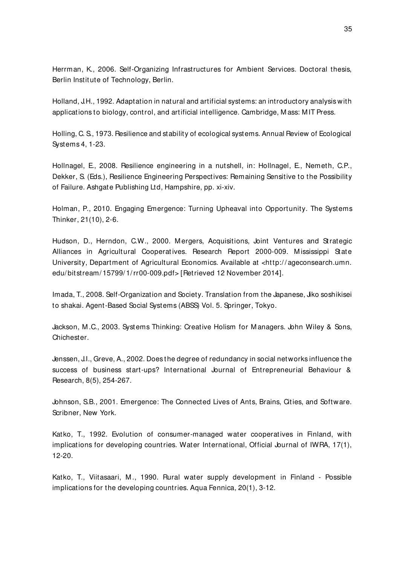Herrman, K., 2006. Self-Organizing Infrastructures for Ambient Services. Doctoral thesis, Berlin Institute of Technology, Berlin.

Holland, J.H., 1992. Adaptation in natural and artificial systems: an introductory analysis with applications to biology, control, and artificial intelligence. Cambridge, M ass: M IT Press.

Holling, C. S., 1973. Resilience and stability of ecological systems. Annual Review of Ecological Systems 4, 1-23.

Hollnagel, E., 2008. Resilience engineering in a nutshell, in: Hollnagel, E., Nemeth, C.P., Dekker, S. (Eds.), Resilience Engineering Perspectives: Remaining Sensitive to the Possibility of Failure. Ashgate Publishing Ltd, Hampshire, pp. xi-xiv.

Holman, P., 2010. Engaging Emergence: Turning Upheaval into Opportunity. The Systems Thinker, 21(10), 2-6.

Hudson, D., Herndon, C.W., 2000. Mergers, Acquisitions, Joint Ventures and Strategic Alliances in Agricultural Cooperatives. Research Report 2000-009. Mississippi State University, Department of Agricultural Economics. Available at <http:/ / ageconsearch.umn. edu/ bitstream/ 15799/ 1/ rr00-009.pdf> [Retrieved 12 November 2014].

Imada, T., 2008. Self-Organization and Society. Translation from the Japanese, Jiko soshikisei to shakai. Agent-Based Social Systems (ABSS) Vol. 5. Springer, Tokyo.

Jackson, M .C., 2003. Systems Thinking: Creative Holism for M anagers. John Wiley & Sons, Chichester.

Jenssen, J.I., Greve, A., 2002. Does the degree of redundancy in social networks influence the success of business start-ups? International Journal of Entrepreneurial Behaviour & Research, 8(5), 254-267.

Johnson, S.B., 2001. Emergence: The Connected Lives of Ants, Brains, Cities, and Software. Scribner, New York.

Katko, T., 1992. Evolution of consumer-managed water cooperatives in Finland, with implications for developing countries. Water International, Official Journal of IWRA, 17(1), 12-20.

Katko, T., Viitasaari, M., 1990. Rural water supply development in Finland - Possible implications for the developing countries. Aqua Fennica, 20(1), 3-12.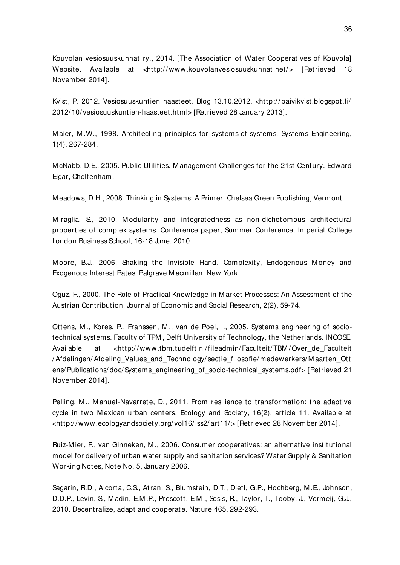Kouvolan vesiosuuskunnat ry., 2014. [The Association of Water Cooperatives of Kouvola] Website. Available at <http://www.kouvolanvesiosuuskunnat.net/> [Retrieved 18 November 2014].

Kvist, P. 2012. Vesiosuuskuntien haasteet. Blog 13.10.2012. <http:/ / paivikvist.blogspot.fi/ 2012/ 10/ vesiosuuskuntien-haasteet.html> [Retrieved 28 January 2013].

M aier, M .W., 1998. Architecting principles for systems-of-systems. Systems Engineering, 1(4), 267-284.

M cNabb, D.E., 2005. Public Utilities. M anagement Challenges for the 21st Century. Edward Elgar, Cheltenham.

M eadows, D.H., 2008. Thinking in Systems: A Primer. Chelsea Green Publishing, Vermont.

Miraglia, S., 2010. Modularity and integratedness as non-dichotomous architectural properties of complex systems. Conference paper, Summer Conference, Imperial College London Business School, 16-18 June, 2010.

Moore, B.J., 2006. Shaking the Invisible Hand. Complexity, Endogenous Money and Exogenous Interest Rates. Palgrave M acmillan, New York.

Oguz, F., 2000. The Role of Practical Knowledge in M arket Processes: An Assessment of the Austrian Contribution. Journal of Economic and Social Research, 2(2), 59-74.

Ottens, M ., Kores, P., Franssen, M ., van de Poel, I., 2005. Systems engineering of sociotechnical systems. Faculty of TPM , Delft University of Technology, the Netherlands. INCOSE. Available at <http://www.tbm.tudelft.nl/fileadmin/Faculteit/TBM/Over\_de\_Faculteit / Afdelingen/ Afdeling\_Values\_and\_Technology/ sectie\_filosofie/ medewerkers/ M aarten\_Ott ens/ Publications/ doc/ Systems\_engineering\_of\_socio-technical\_systems.pdf> [Retrieved 21 November 2014].

Pelling, M., Manuel-Navarrete, D., 2011. From resilience to transformation: the adaptive cycle in two Mexican urban centers. Ecology and Society, 16(2), article 11. Available at <http:/ / www.ecologyandsociety.org/ vol16/ iss2/ art11/ > [Retrieved 28 November 2014].

Ruiz-M ier, F., van Ginneken, M ., 2006. Consumer cooperatives: an alternative institutional model for delivery of urban water supply and sanit ation services? Water Supply & Sanitation Working Notes, Note No. 5, January 2006.

Sagarin, R.D., Alcorta, C.S., Atran, S., Blumstein, D.T., Dietl, G.P., Hochberg, M .E., Johnson, D.D.P., Levin, S., M adin, E.M .P., Prescott, E.M ., Sosis, R., Taylor, T., Tooby, J., Vermeij, G.J., 2010. Decentralize, adapt and cooperate. Nature 465, 292-293.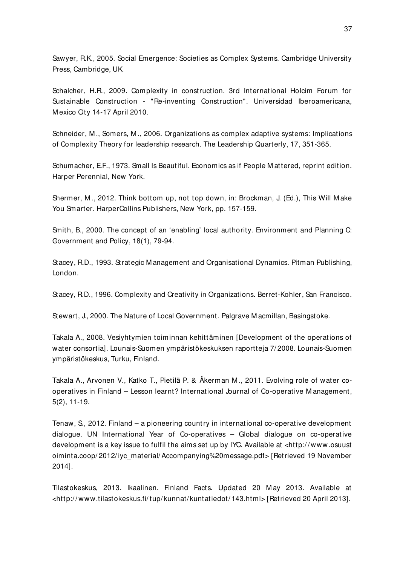Sawyer, R.K., 2005. Social Emergence: Societies as Complex Systems. Cambridge University Press, Cambridge, UK.

Schalcher, H.R., 2009. Complexity in construction. 3rd International Holcim Forum for Sustainable Construction - "Re-inventing Construction". Universidad Iberoamericana, M exico City 14-17 April 2010.

Schneider, M ., Somers, M ., 2006. Organizations as complex adaptive systems: Implications of Complexity Theory for leadership research. The Leadership Quarterly, 17, 351-365.

Schumacher, E.F., 1973. Small Is Beautiful. Economics as if People Mattered, reprint edition. Harper Perennial, New York.

Shermer, M ., 2012. Think bottom up, not top down, in: Brockman, J. (Ed.), This Will M ake You Smarter. HarperCollins Publishers, New York, pp. 157-159.

Smith, B., 2000. The concept of an 'enabling' local authority. Environment and Planning C: Government and Policy, 18(1), 79-94.

Stacey, R.D., 1993. Strategic M anagement and Organisational Dynamics. Pitman Publishing, London.

Stacey, R.D., 1996. Complexity and Creativity in Organizations. Berret-Kohler, San Francisco.

Stewart, J., 2000. The Nature of Local Government. Palgrave M acmillan, Basingstoke.

Takala A., 2008. Vesiyhtymien toiminnan kehittäminen [Development of the operations of water consortia]. Lounais-Suomen ympäristökeskuksen raportteja 7/ 2008. Lounais-Suomen ympäristökeskus, Turku, Finland.

Takala A., Arvonen V., Katko T., Pietilä P. & Åkerman M ., 2011. Evolving role of water cooperatives in Finland – Lesson learnt? International Journal of Co-operative M anagement, 5(2), 11-19.

Tenaw, S., 2012. Finland – a pioneering count ry in international co-operative development dialogue. UN International Year of Co-operatives – Global dialogue on co-operative development is a key issue to fulfil the aims set up by IYC. Available at <http:/ / www.osuust oiminta.coop/ 2012/ iyc\_material/ Accompanying%20message.pdf> [Retrieved 19 November 2014].

Tilastokeskus, 2013. Ikaalinen. Finland Facts. Updated 20 M ay 2013. Available at <http:/ / www.tilastokeskus.fi/ tup/ kunnat/ kuntatiedot/ 143.html> [Retrieved 20 April 2013].